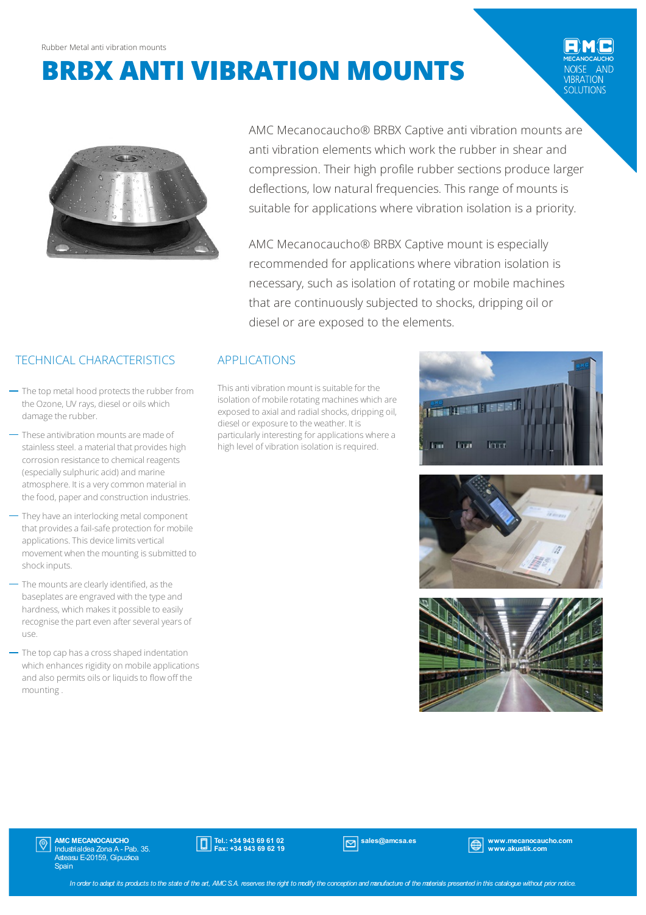# **BRBX ANTI VIBRATION MOUNTS**

AND **IBRATION** SOLUTIONS



AMC Mecanocaucho® BRBX Captive anti vibration mounts are anti vibration elements which work the rubber in shear and compression. Their high profile rubber sections produce larger deflections, low natural frequencies. This range of mounts is suitable for applications where vibration isolation is a priority.

AMC Mecanocaucho® BRBX Captive mount is especially recommended for applications where vibration isolation is necessary, such as isolation of rotating or mobile machines that are continuously subjected to shocks, dripping oil or diesel or are exposed to the elements.

This anti vibration mount is suitable for the isolation of mobile rotating machines which are exposed to axial and radial shocks, dripping oil, diesel or exposure to the weather. It is particularly interesting for applications where a high level of vibration isolation is required.







## TECHNICAL CHARACTERISTICS APPLICATIONS

- $-$  The top metal hood protects the rubber from the Ozone, UV rays, diesel or oils which damage the rubber.
- These antivibration mounts are made of stainless steel. a material that provides high corrosion resistance to chemical reagents (especially sulphuric acid) and marine atmosphere. It is a very common material in the food, paper and construction industries.
- They have an interlocking metal component that provides a fail-safe protection for mobile applications. This device limits vertical movement when the mounting is submitted to shockinputs.
- The mounts are clearly identified, as the baseplates are engraved with the type and hardness, which makes it possible to easily recognise the part even after several years of use.
- The top cap has a cross shaped indentation which enhances rigidity on mobile applications and also permits oils or liquids to flow off the mounting.

**AMC MECANOCAUCHO**<br>Industrialdea Zona A - Pab. 35. Asteasu E-20159, Gipuzkoa **Spain** 



sales@amcsa.es www.mecanocaucho.com www.akustik.com

In order to adapt its products to the state of the art, AMCS.A. reserves the right to modify the conception and manufacture of the materials presented in this catalogue without prior notice.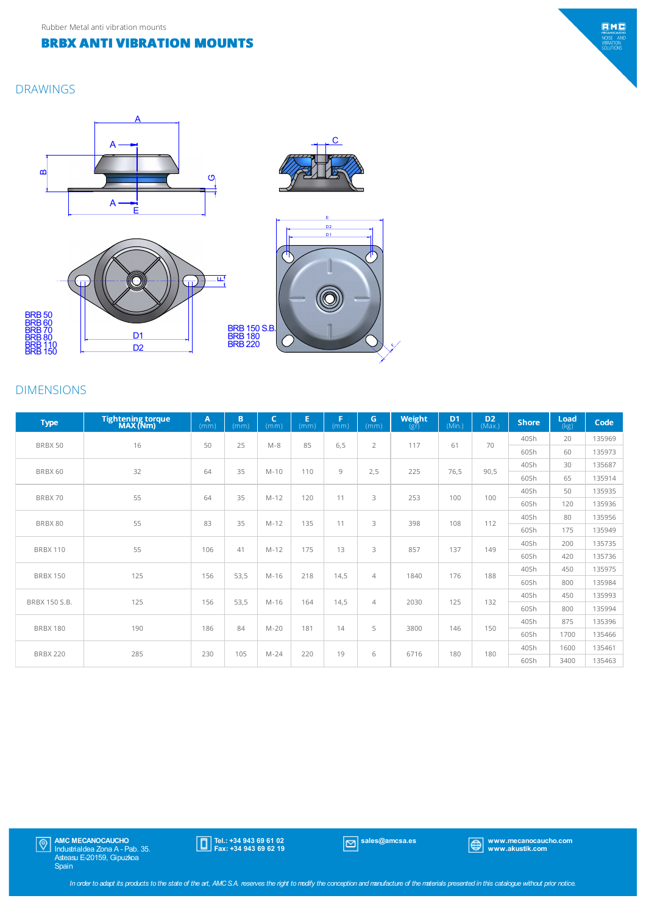#### **BRBX ANTI VIBRATION MOUNTS**

#### DRAWINGS



### DIMENSIONS

| <b>Type</b>          | <b>Tightening torque</b><br>MAX (Nm) | A<br>(mm) | B<br>(mm) | $\mathsf{C}$<br>(mm) | E.<br>(mm) | G<br>(mm) | G.<br>(mm)     | Weight<br>$(g\bar{r})$ | D <sub>1</sub><br>(Min.) | D <sub>2</sub><br>(Max.) | <b>Shore</b> | Load<br>(kg) | Code   |
|----------------------|--------------------------------------|-----------|-----------|----------------------|------------|-----------|----------------|------------------------|--------------------------|--------------------------|--------------|--------------|--------|
| BRBX 50              | 16                                   | 50        | 25        | $M-8$                | 85         | 6,5       | $\overline{2}$ | 117                    | 61                       | 70                       | 40Sh         | 20           | 135969 |
|                      |                                      |           |           |                      |            |           |                |                        |                          |                          | 60Sh         | 60           | 135973 |
| BRBX 60              | 32                                   | 64        | 35        | $M-10$               | 110        | 9         | 2,5            | 225                    | 76,5                     | 90,5                     | 40Sh         | 30           | 135687 |
|                      |                                      |           |           |                      |            |           |                |                        |                          |                          | 60Sh         | 65           | 135914 |
| BRBX 70              | 55                                   | 64        | 35        | $M-12$               | 120        | 11        | 3              | 253                    | 100                      | 100                      | 40Sh         | 50           | 135935 |
|                      |                                      |           |           |                      |            |           |                |                        |                          |                          | 60Sh         | 120          | 135936 |
| BRBX 80              | 55                                   | 83        | 35        | $M-12$               | 135        | 11        | 3              | 398                    | 108                      | 112                      | 40Sh         | 80           | 135956 |
|                      |                                      |           |           |                      |            |           |                |                        |                          |                          | 60Sh         | 175          | 135949 |
| <b>BRBX 110</b>      | 55                                   | 106       | 41        | $M-12$               | 175        | 13        | 3              | 857                    | 137                      | 149                      | 40Sh         | 200          | 135735 |
|                      |                                      |           |           |                      |            |           |                |                        |                          |                          | 60Sh         | 420          | 135736 |
| <b>BRBX 150</b>      | 125                                  | 156       | 53,5      | $M-16$               | 218        | 14,5      | $\overline{4}$ | 1840                   | 176                      | 188                      | 40Sh         | 450          | 135975 |
|                      |                                      |           |           |                      |            |           |                |                        |                          |                          | 60Sh         | 800          | 135984 |
| <b>BRBX 150 S.B.</b> | 125                                  | 156       | 53,5      | $M-16$               | 164        | 14,5      | $\overline{4}$ | 2030                   | 125                      | 132                      | 40Sh         | 450          | 135993 |
|                      |                                      |           |           |                      |            |           |                |                        |                          |                          | 60Sh         | 800          | 135994 |
| <b>BRBX 180</b>      | 190                                  | 186       | 84        | $M-20$               | 181        | 14        | 5              | 3800                   | 146                      | 150                      | 40Sh         | 875          | 135396 |
|                      |                                      |           |           |                      |            |           |                |                        |                          |                          | 60Sh         | 1700         | 135466 |
| <b>BRBX 220</b>      | 285                                  | 230       | 105       | $M-24$               | 220        | 19        | 6              | 6716                   | 180                      | 180                      | 40Sh         | 1600         | 135461 |
|                      |                                      |           |           |                      |            |           |                |                        |                          |                          | 60Sh         | 3400         | 135463 |





 $EMC$ MECANOCAUCH<br>NOISE ANI<br>VIBRATION<br>SOLUTIONS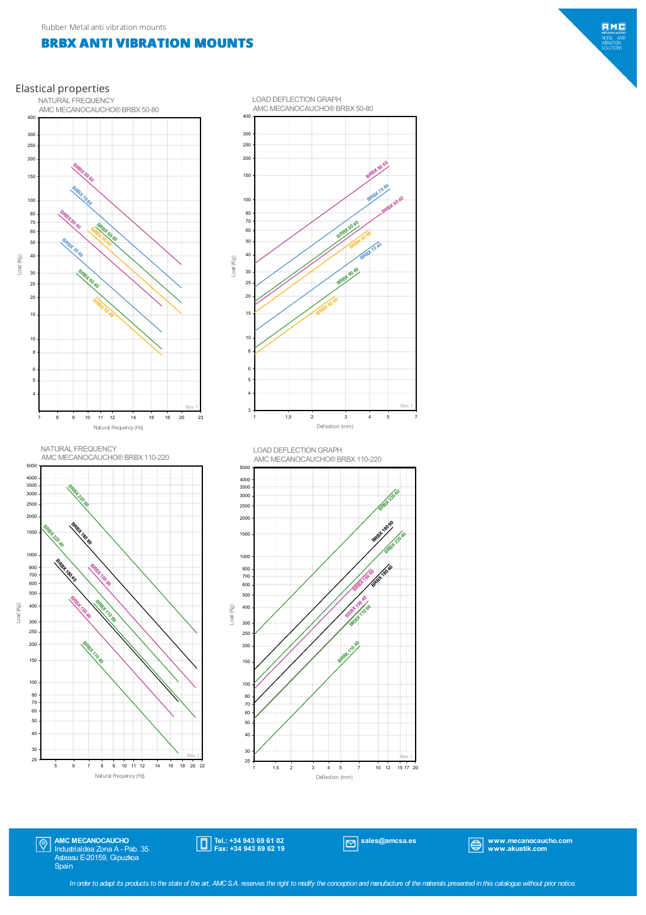#### **BRBX ANTI VIBRATION MOUNTS**

Elastical properties





#### AMC MECANOCAUCHO®BRBX 50-80 LOAD DEFLECTION GRAPH

**BRBX 70 60** 

BRBX 80 60

EMC

Load (Kg) 

> > $|\mathbb{Q}|$

AMC MECANOCAUCHO Industrialdea Zona A - Pab. 35. Asteasu E-20159, Gipuzkoa Spain

**BRBH**Z  $\frac{1}{6}$ 

Natural Frequency (Hz) <sup>6</sup> <sup>7</sup> <sup>8</sup> <sup>9</sup> <sup>10</sup> <sup>11</sup> <sup>12</sup> <sup>14</sup> <sup>16</sup> <sup>18</sup> <sup>20</sup> <sup>22</sup>

Tel.: +34 943 69 61 02 Fax: +34 943 69 62 19

Rev. 1

sales@amcsa.es www.mecanocaucho.com www.akustik.com